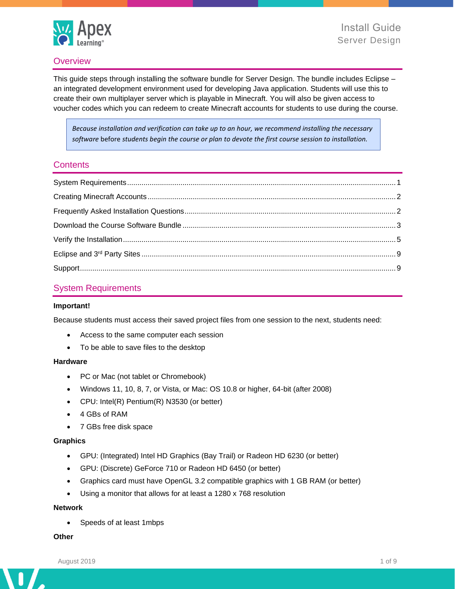

## **Overview**

This guide steps through installing the software bundle for Server Design. The bundle includes Eclipse – an integrated development environment used for developing Java application. Students will use this to create their own multiplayer server which is playable in Minecraft. You will also be given access to voucher codes which you can redeem to create Minecraft accounts for students to use during the course.

*Because installation and verification can take up to an hour, we recommend installing the necessary software* before *students begin the course or plan to devote the first course session to installation.*

### **Contents**

## <span id="page-0-0"></span>System Requirements

#### **Important!**

Because students must access their saved project files from one session to the next, students need:

- Access to the same computer each session
- To be able to save files to the desktop

#### **Hardware**

- PC or Mac (not tablet or Chromebook)
- Windows 11, 10, 8, 7, or Vista, or Mac: OS 10.8 or higher, 64-bit (after 2008)
- CPU: Intel(R) Pentium(R) N3530 (or better)
- 4 GBs of RAM
- 7 GBs free disk space

#### **Graphics**

- GPU: (Integrated) Intel HD Graphics (Bay Trail) or Radeon HD 6230 (or better)
- GPU: (Discrete) GeForce 710 or Radeon HD 6450 (or better)
- Graphics card must have OpenGL 3.2 compatible graphics with 1 GB RAM (or better)
- Using a monitor that allows for at least a 1280 x 768 resolution

#### **Network**

• Speeds of at least 1mbps

#### **Other**

Λ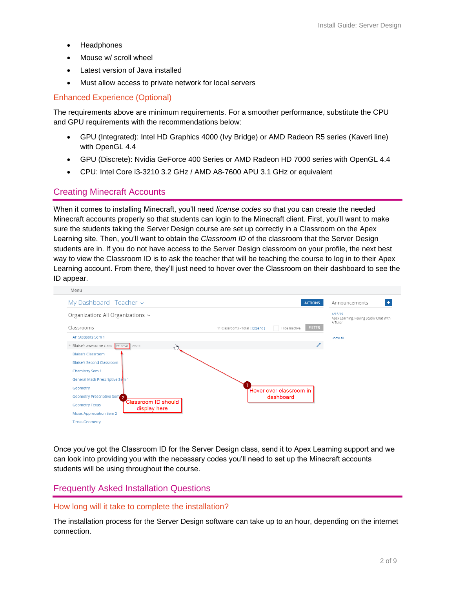- **Headphones**
- Mouse w/ scroll wheel
- Latest version of Java installed
- Must allow access to private network for local servers

## Enhanced Experience (Optional)

The requirements above are minimum requirements. For a smoother performance, substitute the CPU and GPU requirements with the recommendations below:

- GPU (Integrated): Intel HD Graphics 4000 (Ivy Bridge) or AMD Radeon R5 series (Kaveri line) with OpenGL 4.4
- GPU (Discrete): Nvidia GeForce 400 Series or AMD Radeon HD 7000 series with OpenGL 4.4
- CPU: Intel Core i3-3210 3.2 GHz / AMD A8-7600 APU 3.1 GHz or equivalent

## <span id="page-1-0"></span>Creating Minecraft Accounts

When it comes to installing Minecraft, you'll need *license codes* so that you can create the needed Minecraft accounts properly so that students can login to the Minecraft client. First, you'll want to make sure the students taking the Server Design course are set up correctly in a Classroom on the Apex Learning site. Then, you'll want to obtain the *Classroom ID* of the classroom that the Server Design students are in. If you do not have access to the Server Design classroom on your profile, the next best way to view the Classroom ID is to ask the teacher that will be teaching the course to log in to their Apex Learning account. From there, they'll just need to hover over the Classroom on their dashboard to see the ID appear.



Once you've got the Classroom ID for the Server Design class, send it to Apex Learning support and we can look into providing you with the necessary codes you'll need to set up the Minecraft accounts students will be using throughout the course.

## <span id="page-1-1"></span>Frequently Asked Installation Questions

#### How long will it take to complete the installation?

The installation process for the Server Design software can take up to an hour, depending on the internet connection.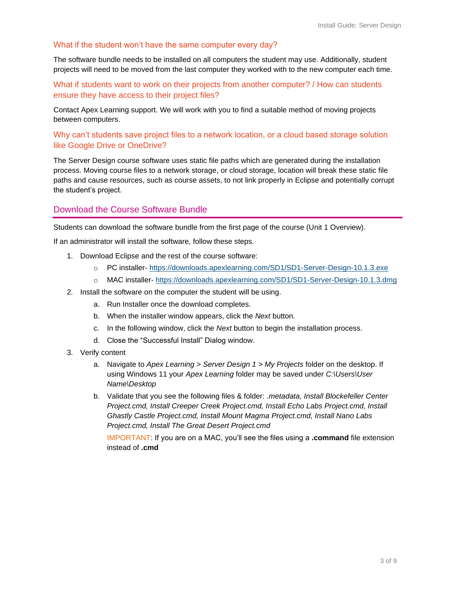### What if the student won't have the same computer every day?

The software bundle needs to be installed on all computers the student may use. Additionally, student projects will need to be moved from the last computer they worked with to the new computer each time.

What if students want to work on their projects from another computer? / How can students ensure they have access to their project files?

Contact Apex Learning support. We will work with you to find a suitable method of moving projects between computers.

### Why can't students save project files to a network location, or a cloud based storage solution like Google Drive or OneDrive?

The Server Design course software uses static file paths which are generated during the installation process. Moving course files to a network storage, or cloud storage, location will break these static file paths and cause resources, such as course assets, to not link properly in Eclipse and potentially corrupt the student's project.

### <span id="page-2-0"></span>Download the Course Software Bundle

Students can download the software bundle from the first page of the course (Unit 1 Overview).

If an administrator will install the software, follow these steps.

- 1. Download Eclipse and the rest of the course software:
	- o PC installer- <https://downloads.apexlearning.com/SD1/SD1-Server-Design-10.1.3.exe>
	- o MAC installer- <https://downloads.apexlearning.com/SD1/SD1-Server-Design-10.1.3.dmg>
- 2. Install the software on the computer the student will be using.
	- a. Run Installer once the download completes.
	- b. When the installer window appears, click the *Next* button.
	- c. In the following window, click the *Next* button to begin the installation process.
	- d. Close the "Successful Install" Dialog window.
- 3. Verify content
	- a. Navigate to *Apex Learning > Server Design 1 > My Projects* folder on the desktop. If using Windows 11 your *Apex Learning* folder may be saved under *C:\Users\User Name\Desktop*
	- b. Validate that you see the following files & folder: *.metadata, Install Blockefeller Center Project.cmd, Install Creeper Creek Project.cmd, Install Echo Labs Project.cmd, Install Ghastly Castle Project.cmd, Install Mount Magma Project.cmd, Install Nano Labs Project.cmd, Install The Great Desert Project.cmd*

IMPORTANT: If you are on a MAC, you'll see the files using a **.command** file extension instead of **.cmd**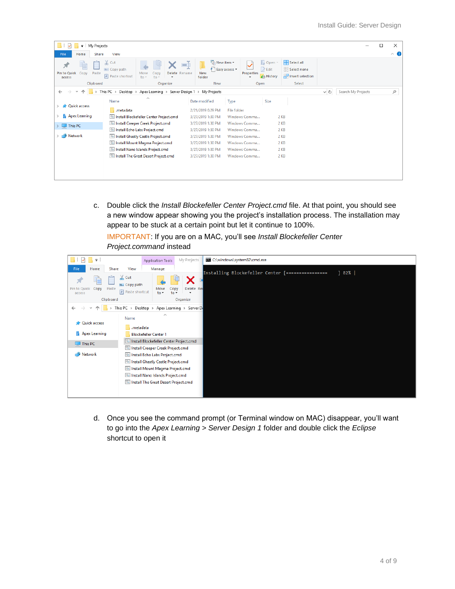| My Projects<br>$\equiv$                 |                                              |                                                                   |                                         |                                                |      |               |                                           |                                                                |     |                    | п | ×              |
|-----------------------------------------|----------------------------------------------|-------------------------------------------------------------------|-----------------------------------------|------------------------------------------------|------|---------------|-------------------------------------------|----------------------------------------------------------------|-----|--------------------|---|----------------|
| File<br>Home<br>Share                   | View                                         |                                                                   |                                         |                                                |      |               |                                           |                                                                |     |                    |   | $\land$ $\Box$ |
| Pin to Quick<br>Paste<br>Copy<br>access | $\chi$ Cut<br>W- Copy path<br>Paste shortcut | Delete<br>Move<br>copy<br>to<br>$to \tau$<br>$\cdot$              | $\blacksquare$<br>Rename                | New item -<br>F Easy access *<br>New<br>folder |      | Properties    | $\Box$ Open<br><b>Z</b> Edit<br>A History | Select all<br>$\frac{100}{100}$ Select none<br><b>Relation</b> |     |                    |   |                |
| Clipboard                               |                                              | Organize                                                          |                                         | <b>New</b>                                     |      | Open          |                                           | Select                                                         |     |                    |   |                |
|                                         |                                              | This PC > Desktop > Apex Learning > Server Design 1 > My Projects |                                         |                                                |      |               |                                           |                                                                | v ō | Search My Projects |   | ٩              |
| <b>Cuick access</b>                     | Name                                         | ⋏                                                                 |                                         | Date modified                                  | Type |               | Size                                      |                                                                |     |                    |   |                |
|                                         | .metadata                                    |                                                                   | 2/21/2019 6:29 PM<br><b>File folder</b> |                                                |      |               |                                           |                                                                |     |                    |   |                |
| ħ<br><b>Apex Learning</b>               |                                              | Install Blockefeller Center Project.cmd                           |                                         | 3/27/2019 1:30 PM                              |      | Windows Comma |                                           | 2 KB                                                           |     |                    |   |                |
| $\Box$ This PC                          |                                              | Install Creeper Creek Project.cmd                                 |                                         | 3/27/2019 1:30 PM<br>2 KB<br>Windows Comma     |      |               |                                           |                                                                |     |                    |   |                |
|                                         | Install Echo Labs Project.cmd                |                                                                   |                                         | 3/27/2019 1:30 PM                              |      | Windows Comma |                                           | 2 KB                                                           |     |                    |   |                |
| Network                                 |                                              | Install Ghastly Castle Project.cmd                                |                                         | 3/27/2019 1:30 PM                              |      | Windows Comma |                                           | 2 KB                                                           |     |                    |   |                |
|                                         |                                              | Install Mount Magma Project.cmd                                   |                                         | 3/27/2019 1:30 PM                              |      | Windows Comma |                                           | 2 KB                                                           |     |                    |   |                |
|                                         |                                              | Install Nano Islands Project.cmd                                  |                                         | 3/27/2019 1:30 PM                              |      | Windows Comma |                                           | 2 KB                                                           |     |                    |   |                |
|                                         |                                              | Install The Great Desert Project.cmd                              |                                         | 3/27/2019 1:30 PM                              |      | Windows Comma |                                           | 2 KB                                                           |     |                    |   |                |
|                                         |                                              |                                                                   |                                         |                                                |      |               |                                           |                                                                |     |                    |   |                |
|                                         |                                              |                                                                   |                                         |                                                |      |               |                                           |                                                                |     |                    |   |                |

c. Double click the *Install Blockefeller Center Project.cmd* file. At that point, you should see a new window appear showing you the project's installation process. The installation may appear to be stuck at a certain point but let it continue to 100%.

IMPORTANT: If you are on a MAC, you'll see *Install Blockefeller Center Project.command* instead



d. Once you see the command prompt (or Terminal window on MAC) disappear, you'll want to go into the *Apex Learning > Server Design 1* folder and double click the *Eclipse*  shortcut to open it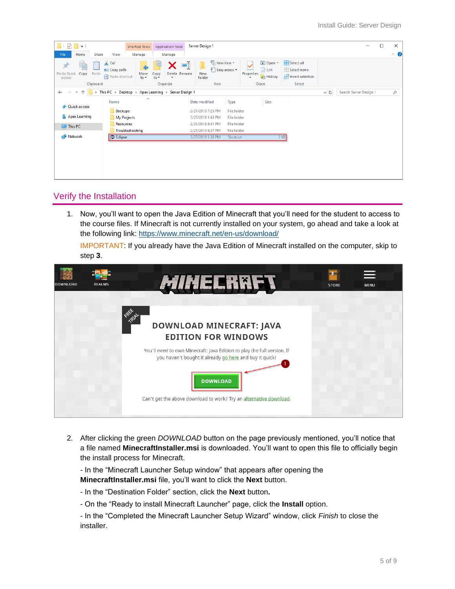| $\overline{\mathbf{v}}$                            |                                                       | <b>Shortcut Tools</b>   | <b>Application Tools</b>                              |    | Server Design 1                                |                                                                      |                                                                 |          |                        | □ | $\times$            |
|----------------------------------------------------|-------------------------------------------------------|-------------------------|-------------------------------------------------------|----|------------------------------------------------|----------------------------------------------------------------------|-----------------------------------------------------------------|----------|------------------------|---|---------------------|
| File<br>Home                                       | View<br>Share                                         | Manage                  | Manage                                                |    |                                                |                                                                      |                                                                 |          |                        |   | $\hat{\phantom{a}}$ |
| È<br>×.<br>Pin to Quick<br>Copy<br>Paste<br>access | $\chi$ Cut<br>W- Copy path<br><b>F</b> Paste shortcut | Move<br>$to -$          | Delete Rename<br>Copy<br>$to -$<br>$\star$            | E) | New item *<br>F Easy access *<br>New<br>folder | DE Open -<br>$\triangleright$ Edit<br>Properties<br><b>B</b> History | Select all<br><b>Select none</b><br><b>Red</b> Invert selection |          |                        |   |                     |
| Clipboard                                          |                                                       |                         | Organize                                              |    | New                                            | Open                                                                 | Select                                                          |          |                        |   |                     |
| $\leftarrow$<br>$\rightarrow$                      |                                                       | $\widehat{\phantom{a}}$ | > This PC > Desktop > Apex Learning > Server Design 1 |    |                                                |                                                                      |                                                                 | $\sim$ 0 | Search Server Design 1 |   | $\varphi$           |
|                                                    | Name                                                  |                         |                                                       |    | Date modified<br>Type                          | Size                                                                 |                                                                 |          |                        |   |                     |
| <b>A</b> Quick access                              | Backups                                               |                         |                                                       |    | 2/21/2019 7:25 PM<br><b>File folder</b>        |                                                                      |                                                                 |          |                        |   |                     |
| <b>Apex Learning</b>                               | My Projects                                           |                         |                                                       |    | 3/27/2019 1:43 PM<br>File folder               |                                                                      |                                                                 |          |                        |   |                     |
|                                                    | Resources                                             |                         |                                                       |    | 2/21/2019 6:41 PM<br><b>File folder</b>        |                                                                      |                                                                 |          |                        |   |                     |
| $\Box$ This PC                                     |                                                       | Troubleshooting         |                                                       |    | 2/21/2019 6:37 PM<br>File folder               |                                                                      |                                                                 |          |                        |   |                     |
| Network                                            | <b>B</b> Eclipse                                      |                         |                                                       |    | 3/27/2019 1:30 PM<br>Shortcut                  |                                                                      | 2 K B                                                           |          |                        |   |                     |
|                                                    |                                                       |                         |                                                       |    |                                                |                                                                      |                                                                 |          |                        |   |                     |
|                                                    |                                                       |                         |                                                       |    |                                                |                                                                      |                                                                 |          |                        |   |                     |
|                                                    |                                                       |                         |                                                       |    |                                                |                                                                      |                                                                 |          |                        |   |                     |
|                                                    |                                                       |                         |                                                       |    |                                                |                                                                      |                                                                 |          |                        |   |                     |
|                                                    |                                                       |                         |                                                       |    |                                                |                                                                      |                                                                 |          |                        |   |                     |
|                                                    |                                                       |                         |                                                       |    |                                                |                                                                      |                                                                 |          |                        |   |                     |

### <span id="page-4-0"></span>Verify the Installation

1. Now, you'll want to open the Java Edition of Minecraft that you'll need for the student to access to the course files. If Minecraft is not currently installed on your system, go ahead and take a look at the following link:<https://www.minecraft.net/en-us/download/>

IMPORTANT: If you already have the Java Edition of Minecraft installed on the computer, skip to step **3**.



2. After clicking the green *DOWNLOAD* button on the page previously mentioned, you'll notice that a file named **MinecraftInstaller.msi** is downloaded. You'll want to open this file to officially begin the install process for Minecraft.

- In the "Minecraft Launcher Setup window" that appears after opening the **MinecraftInstaller.msi** file, you'll want to click the **Next** button.

- In the "Destination Folder" section, click the **Next** button**.**
- On the "Ready to install Minecraft Launcher" page, click the **Install** option.

- In the "Completed the Minecraft Launcher Setup Wizard" window, click *Finish* to close the installer.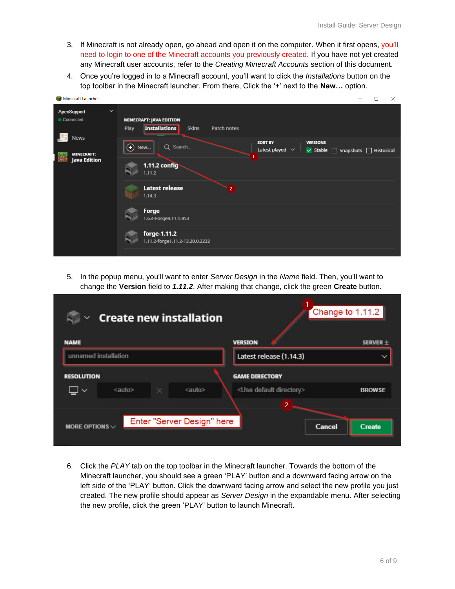- 3. If Minecraft is not already open, go ahead and open it on the computer. When it first opens, you'll need to login to one of the Minecraft accounts you previously created. If you have not yet created any Minecraft user accounts, refer to the *Creating Minecraft Accounts* section of this document.
- 4. Once you're logged in to a Minecraft account, you'll want to click the *Installations* button on the top toolbar in the Minecraft launcher. From there, Click the '+' next to the **New...** option.

| Minecraft Launcher                                      | П<br>$\times$                                                                                                                    |
|---------------------------------------------------------|----------------------------------------------------------------------------------------------------------------------------------|
| $\checkmark$<br><b>ApexSupport</b><br>Connected         | <b>MINECRAFT: JAVA EDITION</b><br><b>Installations</b><br>Play<br><b>Skins</b><br>Patch notes                                    |
| <b>News</b><br><b>MINECRAFT:</b><br><b>Java Edition</b> | <b>SORT BY</b><br><b>VERSIONS</b><br>$\bigoplus$<br>Q Search<br>New<br>Latest played $\vee$<br>V Stable   Snapshots   Historical |
|                                                         | <b>1.11.2 config</b><br>1.11.2                                                                                                   |
|                                                         | <b>Latest release</b><br>$2^{\circ}$<br>1.14.3                                                                                   |
|                                                         | Forge<br>1.6.4-Forge9.11.1.953                                                                                                   |
|                                                         | forge-1.11.2<br>1.11.2-forge1.11.2-13.20.0.2232                                                                                  |

5. In the popup menu, you'll want to enter *Server Design* in the *Name* field. Then, you'll want to change the **Version** field to *1.11.2*. After making that change, click the green **Create** button.

| <b>Create new installation</b><br>$\checkmark$                    |                                     | Change to 1.11.2 |  |  |
|-------------------------------------------------------------------|-------------------------------------|------------------|--|--|
| <b>NAME</b>                                                       | <b>VERSION</b>                      | SERVER $\vee$    |  |  |
| unnamed installation                                              | Latest release (1.14.3)             |                  |  |  |
| <b>RESOLUTION</b>                                                 | <b>GAME DIRECTORY</b>               |                  |  |  |
| <auto><br/><auto><br/>×<br/><math>\checkmark</math></auto></auto> | <use default="" directory=""></use> | <b>BROWSE</b>    |  |  |
|                                                                   | $\overline{2}$                      |                  |  |  |
| Enter "Server Design" here<br>MORE OPTIONS $\vee$                 | Cancel                              | Create           |  |  |

6. Click the *PLAY* tab on the top toolbar in the Minecraft launcher. Towards the bottom of the Minecraft launcher, you should see a green 'PLAY' button and a downward facing arrow on the left side of the 'PLAY' button. Click the downward facing arrow and select the new profile you just created. The new profile should appear as *Server Design* in the expandable menu. After selecting the new profile, click the green 'PLAY' button to launch Minecraft.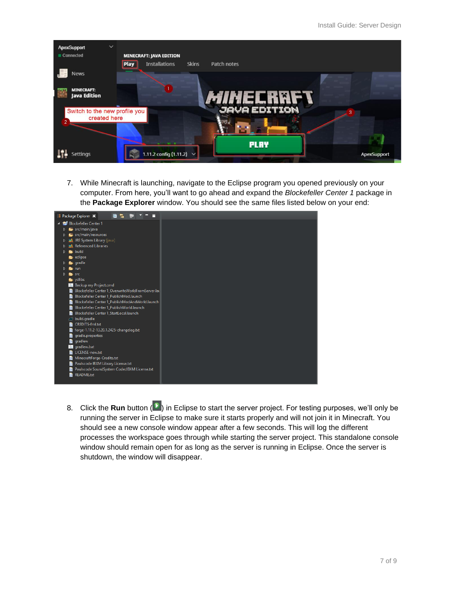| <b>ApexSupport</b><br>Connected                                 | $\checkmark$<br><b>MINECRAFT: JAVA EDITION</b>       |                             |                    |
|-----------------------------------------------------------------|------------------------------------------------------|-----------------------------|--------------------|
| <b>News</b>                                                     | <b>Play</b><br><b>Installations</b>                  | <b>Skins</b><br>Patch notes |                    |
| <b>MINECRAFT:</b><br><b>Java Edition</b>                        |                                                      | <i>Mih</i> elrrfy           |                    |
| Switch to the new profile you<br>created here<br>$\overline{2}$ |                                                      | <b>JAVA EDITION</b><br>3    |                    |
| <b>Settings</b>                                                 | <b>ALCOHOL: N</b><br>1.11.2 config $(1.11.2)$ $\vee$ | <b>PLRY</b>                 | <b>ApexSupport</b> |

7. While Minecraft is launching, navigate to the Eclipse program you opened previously on your computer. From here, you'll want to go ahead and expand the *Blockefeller Center 1* package in the **Package Explorer** window. You should see the same files listed below on your end:



8. Click the **Run** button (**D**) in Eclipse to start the server project. For testing purposes, we'll only be running the server in Eclipse to make sure it starts properly and will not join it in Minecraft. You should see a new console window appear after a few seconds. This will log the different processes the workspace goes through while starting the server project. This standalone console window should remain open for as long as the server is running in Eclipse. Once the server is shutdown, the window will disappear.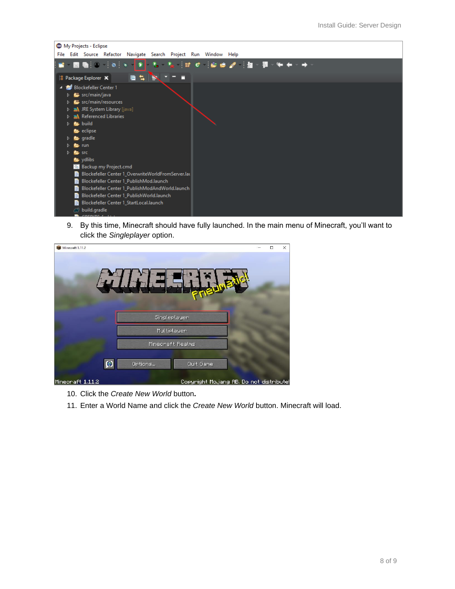

9. By this time, Minecraft should have fully launched. In the main menu of Minecraft, you'll want to click the *Singleplayer* option.

| Minecraft 1.11.2 |                                          | $\Box$ | $\times$ |
|------------------|------------------------------------------|--------|----------|
|                  |                                          |        |          |
|                  |                                          |        |          |
|                  |                                          |        |          |
|                  | Singleplayer<br>Multiplayer              |        |          |
|                  | Mineonaft Realms                         |        |          |
| ø                | Options<br>Quit Game                     |        |          |
| Minecraft 1112   | Conveight Mo iang AB. Do not distributed |        |          |

- 10. Click the *Create New World* button**.**
- 11. Enter a World Name and click the *Create New World* button. Minecraft will load.